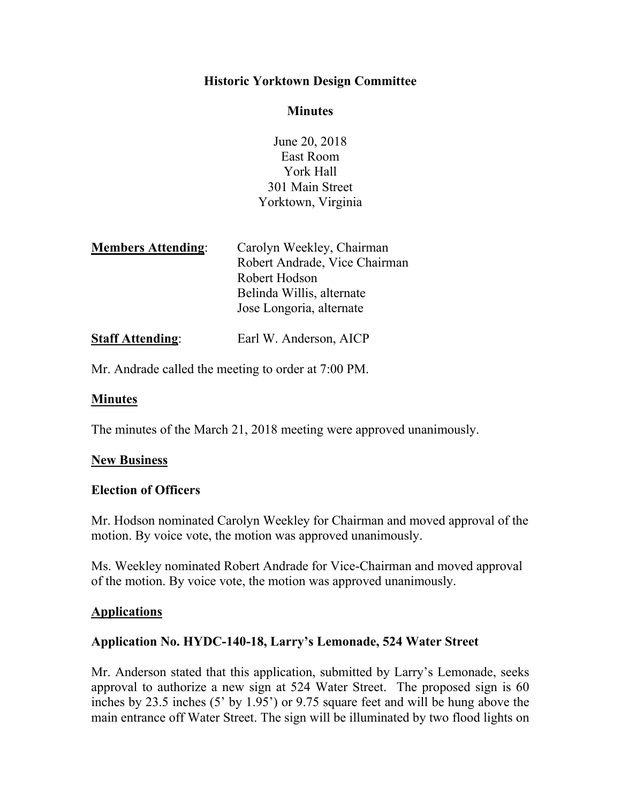### **Historic Yorktown Design Committee**

#### **Minutes**

June 20, 2018 East Room York Hall 301 Main Street Yorktown, Virginia

| <b>Members Attending:</b> | Carolyn Weekley, Chairman     |
|---------------------------|-------------------------------|
|                           | Robert Andrade, Vice Chairman |
|                           | Robert Hodson                 |
|                           | Belinda Willis, alternate     |
|                           | Jose Longoria, alternate      |
|                           |                               |

**Staff Attending:** Earl W. Anderson, AICP

Mr. Andrade called the meeting to order at 7:00 PM.

### **Minutes**

The minutes of the March 21, 2018 meeting were approved unanimously.

### **New Business**

### **Election of Officers**

Mr. Hodson nominated Carolyn Weekley for Chairman and moved approval of the motion. By voice vote, the motion was approved unanimously.

Ms. Weekley nominated Robert Andrade for Vice-Chairman and moved approval of the motion. By voice vote, the motion was approved unanimously.

### **Applications**

# **Application No. HYDC-140-18, Larry's Lemonade, 524 Water Street**

Mr. Anderson stated that this application, submitted by Larry's Lemonade, seeks approval to authorize a new sign at 524 Water Street. The proposed sign is 60 inches by 23.5 inches (5' by 1.95') or 9.75 square feet and will be hung above the main entrance off Water Street. The sign will be illuminated by two flood lights on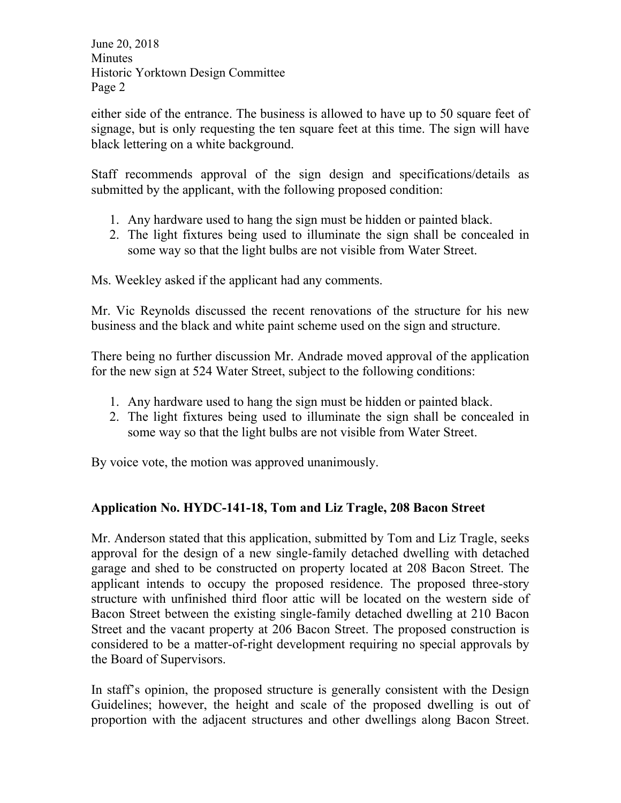either side of the entrance. The business is allowed to have up to 50 square feet of signage, but is only requesting the ten square feet at this time. The sign will have black lettering on a white background.

Staff recommends approval of the sign design and specifications/details as submitted by the applicant, with the following proposed condition:

- 1. Any hardware used to hang the sign must be hidden or painted black.
- 2. The light fixtures being used to illuminate the sign shall be concealed in some way so that the light bulbs are not visible from Water Street.

Ms. Weekley asked if the applicant had any comments.

Mr. Vic Reynolds discussed the recent renovations of the structure for his new business and the black and white paint scheme used on the sign and structure.

There being no further discussion Mr. Andrade moved approval of the application for the new sign at 524 Water Street, subject to the following conditions:

- 1. Any hardware used to hang the sign must be hidden or painted black.
- 2. The light fixtures being used to illuminate the sign shall be concealed in some way so that the light bulbs are not visible from Water Street.

By voice vote, the motion was approved unanimously.

# **Application No. HYDC-141-18, Tom and Liz Tragle, 208 Bacon Street**

Mr. Anderson stated that this application, submitted by Tom and Liz Tragle, seeks approval for the design of a new single-family detached dwelling with detached garage and shed to be constructed on property located at 208 Bacon Street. The applicant intends to occupy the proposed residence. The proposed three-story structure with unfinished third floor attic will be located on the western side of Bacon Street between the existing single-family detached dwelling at 210 Bacon Street and the vacant property at 206 Bacon Street. The proposed construction is considered to be a matter-of-right development requiring no special approvals by the Board of Supervisors.

In staff's opinion, the proposed structure is generally consistent with the Design Guidelines; however, the height and scale of the proposed dwelling is out of proportion with the adjacent structures and other dwellings along Bacon Street.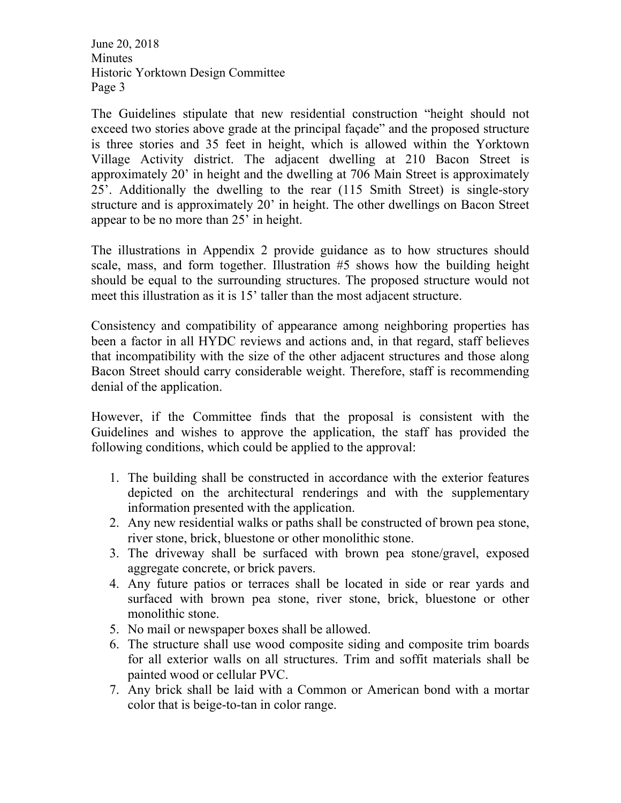The Guidelines stipulate that new residential construction "height should not exceed two stories above grade at the principal façade" and the proposed structure is three stories and 35 feet in height, which is allowed within the Yorktown Village Activity district. The adjacent dwelling at 210 Bacon Street is approximately 20' in height and the dwelling at 706 Main Street is approximately 25'. Additionally the dwelling to the rear (115 Smith Street) is single-story structure and is approximately 20' in height. The other dwellings on Bacon Street appear to be no more than 25' in height.

The illustrations in Appendix 2 provide guidance as to how structures should scale, mass, and form together. Illustration #5 shows how the building height should be equal to the surrounding structures. The proposed structure would not meet this illustration as it is 15' taller than the most adjacent structure.

Consistency and compatibility of appearance among neighboring properties has been a factor in all HYDC reviews and actions and, in that regard, staff believes that incompatibility with the size of the other adjacent structures and those along Bacon Street should carry considerable weight. Therefore, staff is recommending denial of the application.

However, if the Committee finds that the proposal is consistent with the Guidelines and wishes to approve the application, the staff has provided the following conditions, which could be applied to the approval:

- 1. The building shall be constructed in accordance with the exterior features depicted on the architectural renderings and with the supplementary information presented with the application.
- 2. Any new residential walks or paths shall be constructed of brown pea stone, river stone, brick, bluestone or other monolithic stone.
- 3. The driveway shall be surfaced with brown pea stone/gravel, exposed aggregate concrete, or brick pavers.
- 4. Any future patios or terraces shall be located in side or rear yards and surfaced with brown pea stone, river stone, brick, bluestone or other monolithic stone.
- 5. No mail or newspaper boxes shall be allowed.
- 6. The structure shall use wood composite siding and composite trim boards for all exterior walls on all structures. Trim and soffit materials shall be painted wood or cellular PVC.
- 7. Any brick shall be laid with a Common or American bond with a mortar color that is beige-to-tan in color range.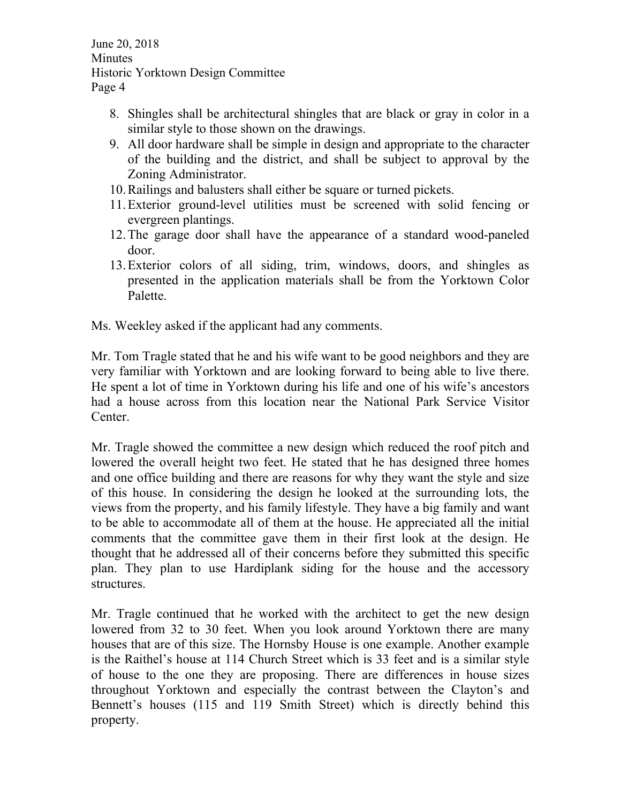- 8. Shingles shall be architectural shingles that are black or gray in color in a similar style to those shown on the drawings.
- 9. All door hardware shall be simple in design and appropriate to the character of the building and the district, and shall be subject to approval by the Zoning Administrator.
- 10.Railings and balusters shall either be square or turned pickets.
- 11.Exterior ground-level utilities must be screened with solid fencing or evergreen plantings.
- 12.The garage door shall have the appearance of a standard wood-paneled door.
- 13.Exterior colors of all siding, trim, windows, doors, and shingles as presented in the application materials shall be from the Yorktown Color Palette.

Ms. Weekley asked if the applicant had any comments.

Mr. Tom Tragle stated that he and his wife want to be good neighbors and they are very familiar with Yorktown and are looking forward to being able to live there. He spent a lot of time in Yorktown during his life and one of his wife's ancestors had a house across from this location near the National Park Service Visitor Center.

Mr. Tragle showed the committee a new design which reduced the roof pitch and lowered the overall height two feet. He stated that he has designed three homes and one office building and there are reasons for why they want the style and size of this house. In considering the design he looked at the surrounding lots, the views from the property, and his family lifestyle. They have a big family and want to be able to accommodate all of them at the house. He appreciated all the initial comments that the committee gave them in their first look at the design. He thought that he addressed all of their concerns before they submitted this specific plan. They plan to use Hardiplank siding for the house and the accessory structures.

Mr. Tragle continued that he worked with the architect to get the new design lowered from 32 to 30 feet. When you look around Yorktown there are many houses that are of this size. The Hornsby House is one example. Another example is the Raithel's house at 114 Church Street which is 33 feet and is a similar style of house to the one they are proposing. There are differences in house sizes throughout Yorktown and especially the contrast between the Clayton's and Bennett's houses (115 and 119 Smith Street) which is directly behind this property.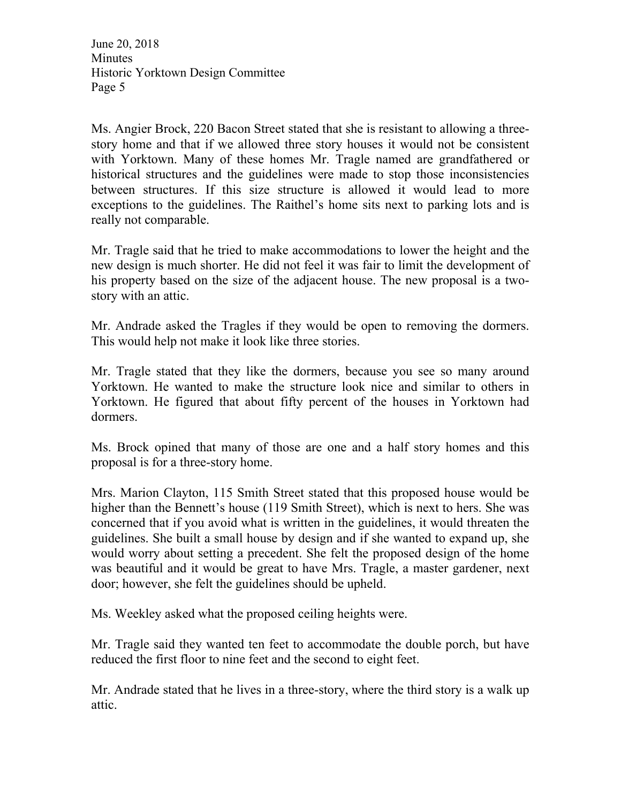Ms. Angier Brock, 220 Bacon Street stated that she is resistant to allowing a threestory home and that if we allowed three story houses it would not be consistent with Yorktown. Many of these homes Mr. Tragle named are grandfathered or historical structures and the guidelines were made to stop those inconsistencies between structures. If this size structure is allowed it would lead to more exceptions to the guidelines. The Raithel's home sits next to parking lots and is really not comparable.

Mr. Tragle said that he tried to make accommodations to lower the height and the new design is much shorter. He did not feel it was fair to limit the development of his property based on the size of the adjacent house. The new proposal is a twostory with an attic.

Mr. Andrade asked the Tragles if they would be open to removing the dormers. This would help not make it look like three stories.

Mr. Tragle stated that they like the dormers, because you see so many around Yorktown. He wanted to make the structure look nice and similar to others in Yorktown. He figured that about fifty percent of the houses in Yorktown had dormers.

Ms. Brock opined that many of those are one and a half story homes and this proposal is for a three-story home.

Mrs. Marion Clayton, 115 Smith Street stated that this proposed house would be higher than the Bennett's house (119 Smith Street), which is next to hers. She was concerned that if you avoid what is written in the guidelines, it would threaten the guidelines. She built a small house by design and if she wanted to expand up, she would worry about setting a precedent. She felt the proposed design of the home was beautiful and it would be great to have Mrs. Tragle, a master gardener, next door; however, she felt the guidelines should be upheld.

Ms. Weekley asked what the proposed ceiling heights were.

Mr. Tragle said they wanted ten feet to accommodate the double porch, but have reduced the first floor to nine feet and the second to eight feet.

Mr. Andrade stated that he lives in a three-story, where the third story is a walk up attic.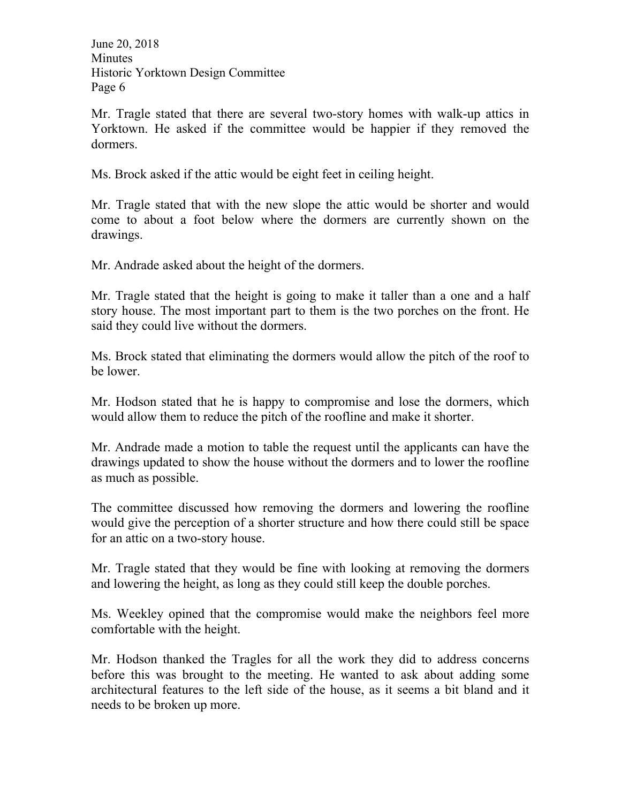Mr. Tragle stated that there are several two-story homes with walk-up attics in Yorktown. He asked if the committee would be happier if they removed the dormers.

Ms. Brock asked if the attic would be eight feet in ceiling height.

Mr. Tragle stated that with the new slope the attic would be shorter and would come to about a foot below where the dormers are currently shown on the drawings.

Mr. Andrade asked about the height of the dormers.

Mr. Tragle stated that the height is going to make it taller than a one and a half story house. The most important part to them is the two porches on the front. He said they could live without the dormers.

Ms. Brock stated that eliminating the dormers would allow the pitch of the roof to be lower.

Mr. Hodson stated that he is happy to compromise and lose the dormers, which would allow them to reduce the pitch of the roofline and make it shorter.

Mr. Andrade made a motion to table the request until the applicants can have the drawings updated to show the house without the dormers and to lower the roofline as much as possible.

The committee discussed how removing the dormers and lowering the roofline would give the perception of a shorter structure and how there could still be space for an attic on a two-story house.

Mr. Tragle stated that they would be fine with looking at removing the dormers and lowering the height, as long as they could still keep the double porches.

Ms. Weekley opined that the compromise would make the neighbors feel more comfortable with the height.

Mr. Hodson thanked the Tragles for all the work they did to address concerns before this was brought to the meeting. He wanted to ask about adding some architectural features to the left side of the house, as it seems a bit bland and it needs to be broken up more.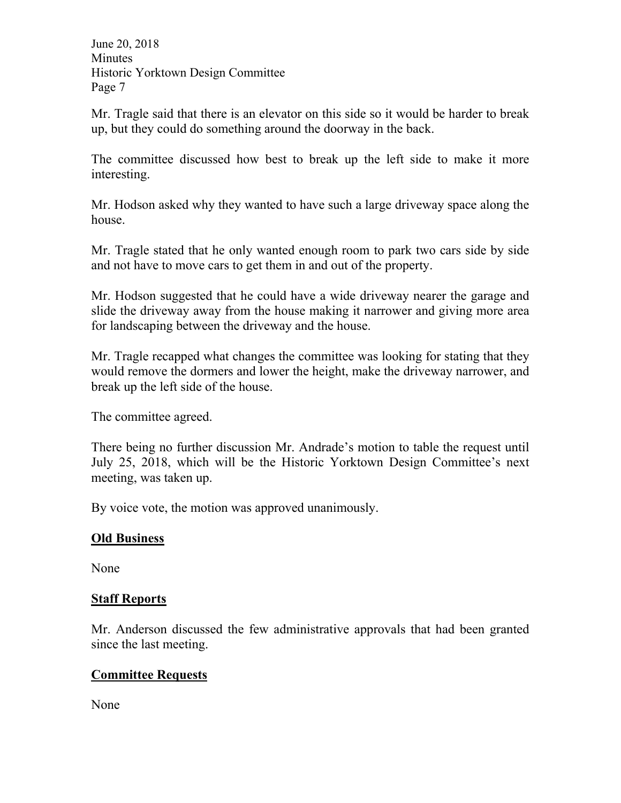Mr. Tragle said that there is an elevator on this side so it would be harder to break up, but they could do something around the doorway in the back.

The committee discussed how best to break up the left side to make it more interesting.

Mr. Hodson asked why they wanted to have such a large driveway space along the house.

Mr. Tragle stated that he only wanted enough room to park two cars side by side and not have to move cars to get them in and out of the property.

Mr. Hodson suggested that he could have a wide driveway nearer the garage and slide the driveway away from the house making it narrower and giving more area for landscaping between the driveway and the house.

Mr. Tragle recapped what changes the committee was looking for stating that they would remove the dormers and lower the height, make the driveway narrower, and break up the left side of the house.

The committee agreed.

There being no further discussion Mr. Andrade's motion to table the request until July 25, 2018, which will be the Historic Yorktown Design Committee's next meeting, was taken up.

By voice vote, the motion was approved unanimously.

### **Old Business**

None

### **Staff Reports**

Mr. Anderson discussed the few administrative approvals that had been granted since the last meeting.

# **Committee Requests**

None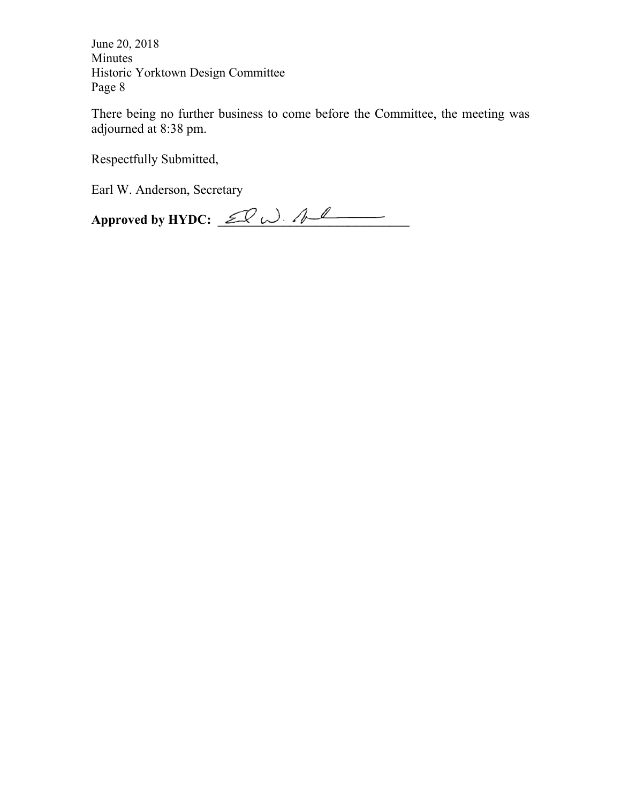There being no further business to come before the Committee, the meeting was adjou urned at 8:3 38 pm.

Respectfully Submitted,

Earl W. Anderson, Secretary

**App roved by H HYDC: \_\_\_ \_\_\_\_\_\_\_\_\_ \_\_\_\_\_\_\_\_\_ \_\_\_\_\_\_\_\_\_**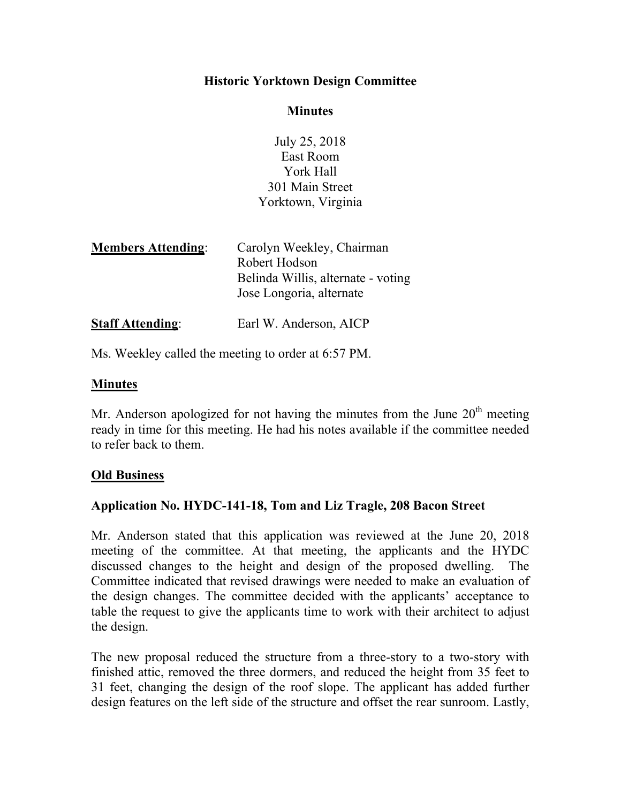### **Historic Yorktown Design Committee**

#### **Minutes**

July 25, 2018 East Room York Hall 301 Main Street Yorktown, Virginia

| <b>Members Attending:</b> | Carolyn Weekley, Chairman          |
|---------------------------|------------------------------------|
|                           | Robert Hodson                      |
|                           | Belinda Willis, alternate - voting |
|                           | Jose Longoria, alternate           |
|                           |                                    |

**Staff Attending:** Earl W. Anderson, AICP

Ms. Weekley called the meeting to order at 6:57 PM.

### **Minutes**

Mr. Anderson apologized for not having the minutes from the June  $20<sup>th</sup>$  meeting ready in time for this meeting. He had his notes available if the committee needed to refer back to them.

### **Old Business**

### **Application No. HYDC-141-18, Tom and Liz Tragle, 208 Bacon Street**

Mr. Anderson stated that this application was reviewed at the June 20, 2018 meeting of the committee. At that meeting, the applicants and the HYDC discussed changes to the height and design of the proposed dwelling. The Committee indicated that revised drawings were needed to make an evaluation of the design changes. The committee decided with the applicants' acceptance to table the request to give the applicants time to work with their architect to adjust the design.

The new proposal reduced the structure from a three-story to a two-story with finished attic, removed the three dormers, and reduced the height from 35 feet to 31 feet, changing the design of the roof slope. The applicant has added further design features on the left side of the structure and offset the rear sunroom. Lastly,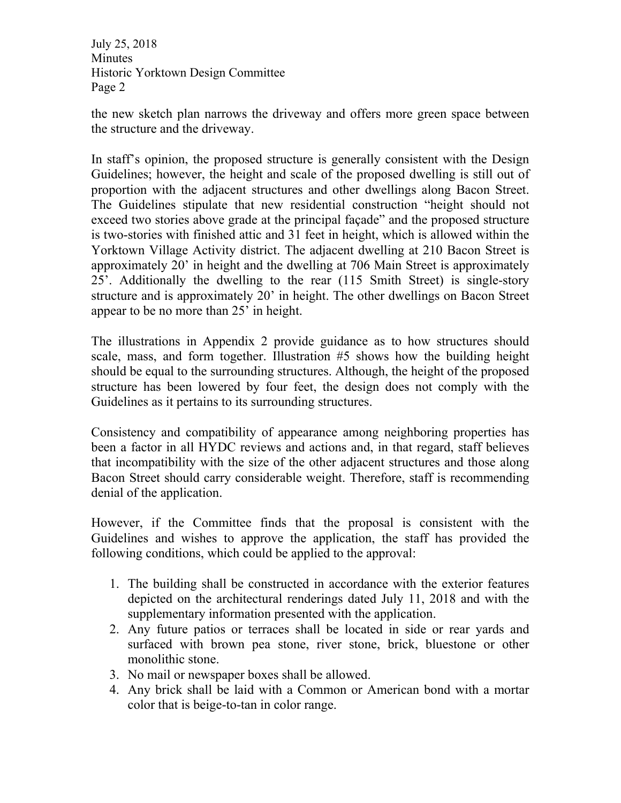the new sketch plan narrows the driveway and offers more green space between the structure and the driveway.

In staff's opinion, the proposed structure is generally consistent with the Design Guidelines; however, the height and scale of the proposed dwelling is still out of proportion with the adjacent structures and other dwellings along Bacon Street. The Guidelines stipulate that new residential construction "height should not exceed two stories above grade at the principal façade" and the proposed structure is two-stories with finished attic and 31 feet in height, which is allowed within the Yorktown Village Activity district. The adjacent dwelling at 210 Bacon Street is approximately 20' in height and the dwelling at 706 Main Street is approximately 25'. Additionally the dwelling to the rear (115 Smith Street) is single-story structure and is approximately 20' in height. The other dwellings on Bacon Street appear to be no more than 25' in height.

The illustrations in Appendix 2 provide guidance as to how structures should scale, mass, and form together. Illustration #5 shows how the building height should be equal to the surrounding structures. Although, the height of the proposed structure has been lowered by four feet, the design does not comply with the Guidelines as it pertains to its surrounding structures.

Consistency and compatibility of appearance among neighboring properties has been a factor in all HYDC reviews and actions and, in that regard, staff believes that incompatibility with the size of the other adjacent structures and those along Bacon Street should carry considerable weight. Therefore, staff is recommending denial of the application.

However, if the Committee finds that the proposal is consistent with the Guidelines and wishes to approve the application, the staff has provided the following conditions, which could be applied to the approval:

- 1. The building shall be constructed in accordance with the exterior features depicted on the architectural renderings dated July 11, 2018 and with the supplementary information presented with the application.
- 2. Any future patios or terraces shall be located in side or rear yards and surfaced with brown pea stone, river stone, brick, bluestone or other monolithic stone.
- 3. No mail or newspaper boxes shall be allowed.
- 4. Any brick shall be laid with a Common or American bond with a mortar color that is beige-to-tan in color range.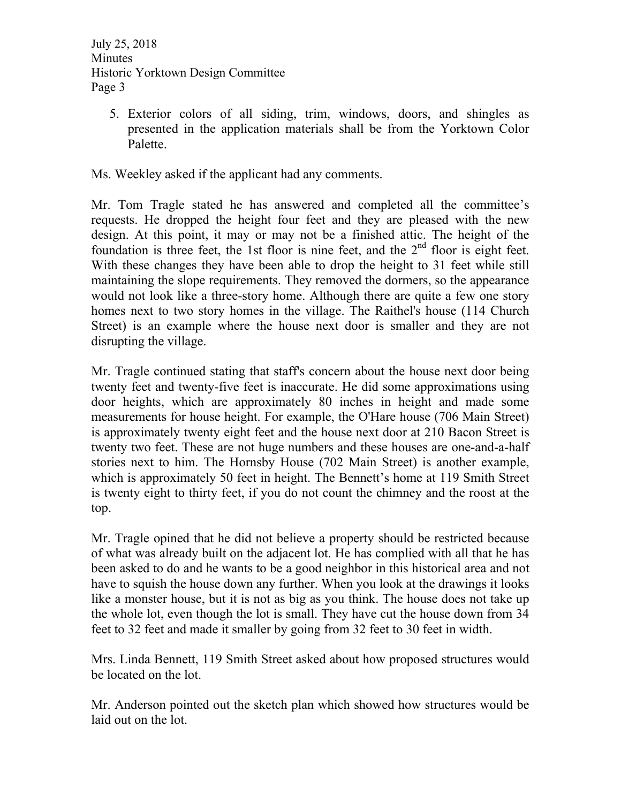5. Exterior colors of all siding, trim, windows, doors, and shingles as presented in the application materials shall be from the Yorktown Color Palette.

Ms. Weekley asked if the applicant had any comments.

Mr. Tom Tragle stated he has answered and completed all the committee's requests. He dropped the height four feet and they are pleased with the new design. At this point, it may or may not be a finished attic. The height of the foundation is three feet, the 1st floor is nine feet, and the  $2<sup>nd</sup>$  floor is eight feet. With these changes they have been able to drop the height to 31 feet while still maintaining the slope requirements. They removed the dormers, so the appearance would not look like a three-story home. Although there are quite a few one story homes next to two story homes in the village. The Raithel's house (114 Church Street) is an example where the house next door is smaller and they are not disrupting the village.

Mr. Tragle continued stating that staff's concern about the house next door being twenty feet and twenty-five feet is inaccurate. He did some approximations using door heights, which are approximately 80 inches in height and made some measurements for house height. For example, the O'Hare house (706 Main Street) is approximately twenty eight feet and the house next door at 210 Bacon Street is twenty two feet. These are not huge numbers and these houses are one-and-a-half stories next to him. The Hornsby House (702 Main Street) is another example, which is approximately 50 feet in height. The Bennett's home at 119 Smith Street is twenty eight to thirty feet, if you do not count the chimney and the roost at the top.

Mr. Tragle opined that he did not believe a property should be restricted because of what was already built on the adjacent lot. He has complied with all that he has been asked to do and he wants to be a good neighbor in this historical area and not have to squish the house down any further. When you look at the drawings it looks like a monster house, but it is not as big as you think. The house does not take up the whole lot, even though the lot is small. They have cut the house down from 34 feet to 32 feet and made it smaller by going from 32 feet to 30 feet in width.

Mrs. Linda Bennett, 119 Smith Street asked about how proposed structures would be located on the lot.

Mr. Anderson pointed out the sketch plan which showed how structures would be laid out on the lot.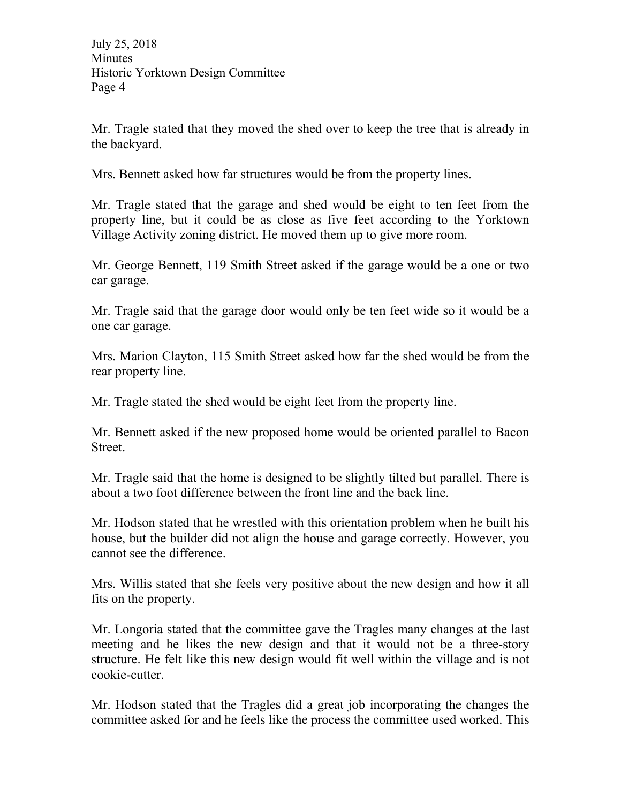Mr. Tragle stated that they moved the shed over to keep the tree that is already in the backyard.

Mrs. Bennett asked how far structures would be from the property lines.

Mr. Tragle stated that the garage and shed would be eight to ten feet from the property line, but it could be as close as five feet according to the Yorktown Village Activity zoning district. He moved them up to give more room.

Mr. George Bennett, 119 Smith Street asked if the garage would be a one or two car garage.

Mr. Tragle said that the garage door would only be ten feet wide so it would be a one car garage.

Mrs. Marion Clayton, 115 Smith Street asked how far the shed would be from the rear property line.

Mr. Tragle stated the shed would be eight feet from the property line.

Mr. Bennett asked if the new proposed home would be oriented parallel to Bacon Street.

Mr. Tragle said that the home is designed to be slightly tilted but parallel. There is about a two foot difference between the front line and the back line.

Mr. Hodson stated that he wrestled with this orientation problem when he built his house, but the builder did not align the house and garage correctly. However, you cannot see the difference.

Mrs. Willis stated that she feels very positive about the new design and how it all fits on the property.

Mr. Longoria stated that the committee gave the Tragles many changes at the last meeting and he likes the new design and that it would not be a three-story structure. He felt like this new design would fit well within the village and is not cookie-cutter.

Mr. Hodson stated that the Tragles did a great job incorporating the changes the committee asked for and he feels like the process the committee used worked. This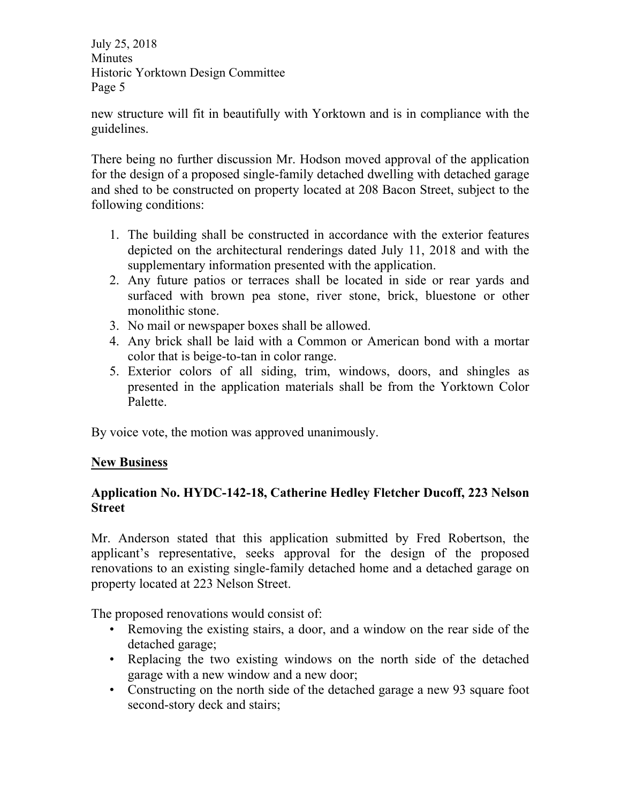new structure will fit in beautifully with Yorktown and is in compliance with the guidelines.

There being no further discussion Mr. Hodson moved approval of the application for the design of a proposed single-family detached dwelling with detached garage and shed to be constructed on property located at 208 Bacon Street, subject to the following conditions:

- 1. The building shall be constructed in accordance with the exterior features depicted on the architectural renderings dated July 11, 2018 and with the supplementary information presented with the application.
- 2. Any future patios or terraces shall be located in side or rear yards and surfaced with brown pea stone, river stone, brick, bluestone or other monolithic stone.
- 3. No mail or newspaper boxes shall be allowed.
- 4. Any brick shall be laid with a Common or American bond with a mortar color that is beige-to-tan in color range.
- 5. Exterior colors of all siding, trim, windows, doors, and shingles as presented in the application materials shall be from the Yorktown Color Palette.

By voice vote, the motion was approved unanimously.

# **New Business**

# **Application No. HYDC-142-18, Catherine Hedley Fletcher Ducoff, 223 Nelson Street**

Mr. Anderson stated that this application submitted by Fred Robertson, the applicant's representative, seeks approval for the design of the proposed renovations to an existing single-family detached home and a detached garage on property located at 223 Nelson Street.

The proposed renovations would consist of:

- Removing the existing stairs, a door, and a window on the rear side of the detached garage;
- Replacing the two existing windows on the north side of the detached garage with a new window and a new door;
- Constructing on the north side of the detached garage a new 93 square foot second-story deck and stairs;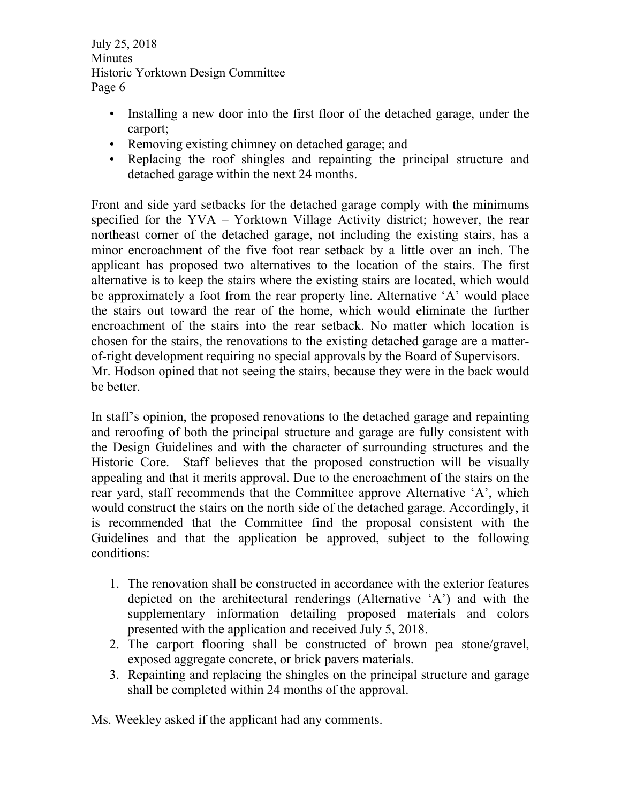- Installing a new door into the first floor of the detached garage, under the carport;
- Removing existing chimney on detached garage; and
- Replacing the roof shingles and repainting the principal structure and detached garage within the next 24 months.

Front and side yard setbacks for the detached garage comply with the minimums specified for the YVA – Yorktown Village Activity district; however, the rear northeast corner of the detached garage, not including the existing stairs, has a minor encroachment of the five foot rear setback by a little over an inch. The applicant has proposed two alternatives to the location of the stairs. The first alternative is to keep the stairs where the existing stairs are located, which would be approximately a foot from the rear property line. Alternative 'A' would place the stairs out toward the rear of the home, which would eliminate the further encroachment of the stairs into the rear setback. No matter which location is chosen for the stairs, the renovations to the existing detached garage are a matterof-right development requiring no special approvals by the Board of Supervisors. Mr. Hodson opined that not seeing the stairs, because they were in the back would be better.

In staff's opinion, the proposed renovations to the detached garage and repainting and reroofing of both the principal structure and garage are fully consistent with the Design Guidelines and with the character of surrounding structures and the Historic Core. Staff believes that the proposed construction will be visually appealing and that it merits approval. Due to the encroachment of the stairs on the rear yard, staff recommends that the Committee approve Alternative 'A', which would construct the stairs on the north side of the detached garage. Accordingly, it is recommended that the Committee find the proposal consistent with the Guidelines and that the application be approved, subject to the following conditions:

- 1. The renovation shall be constructed in accordance with the exterior features depicted on the architectural renderings (Alternative 'A') and with the supplementary information detailing proposed materials and colors presented with the application and received July 5, 2018.
- 2. The carport flooring shall be constructed of brown pea stone/gravel, exposed aggregate concrete, or brick pavers materials.
- 3. Repainting and replacing the shingles on the principal structure and garage shall be completed within 24 months of the approval.

Ms. Weekley asked if the applicant had any comments.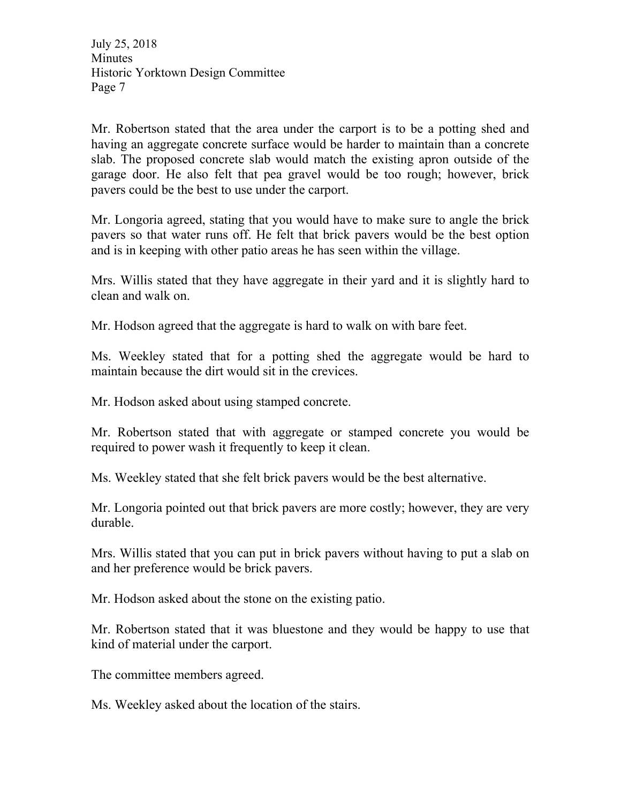Mr. Robertson stated that the area under the carport is to be a potting shed and having an aggregate concrete surface would be harder to maintain than a concrete slab. The proposed concrete slab would match the existing apron outside of the garage door. He also felt that pea gravel would be too rough; however, brick pavers could be the best to use under the carport.

Mr. Longoria agreed, stating that you would have to make sure to angle the brick pavers so that water runs off. He felt that brick pavers would be the best option and is in keeping with other patio areas he has seen within the village.

Mrs. Willis stated that they have aggregate in their yard and it is slightly hard to clean and walk on.

Mr. Hodson agreed that the aggregate is hard to walk on with bare feet.

Ms. Weekley stated that for a potting shed the aggregate would be hard to maintain because the dirt would sit in the crevices.

Mr. Hodson asked about using stamped concrete.

Mr. Robertson stated that with aggregate or stamped concrete you would be required to power wash it frequently to keep it clean.

Ms. Weekley stated that she felt brick pavers would be the best alternative.

Mr. Longoria pointed out that brick pavers are more costly; however, they are very durable.

Mrs. Willis stated that you can put in brick pavers without having to put a slab on and her preference would be brick pavers.

Mr. Hodson asked about the stone on the existing patio.

Mr. Robertson stated that it was bluestone and they would be happy to use that kind of material under the carport.

The committee members agreed.

Ms. Weekley asked about the location of the stairs.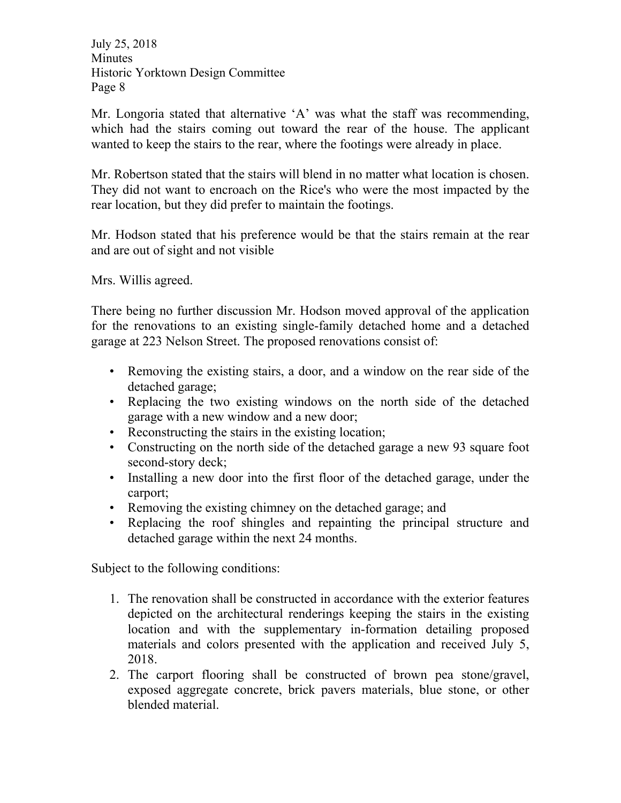Mr. Longoria stated that alternative 'A' was what the staff was recommending, which had the stairs coming out toward the rear of the house. The applicant wanted to keep the stairs to the rear, where the footings were already in place.

Mr. Robertson stated that the stairs will blend in no matter what location is chosen. They did not want to encroach on the Rice's who were the most impacted by the rear location, but they did prefer to maintain the footings.

Mr. Hodson stated that his preference would be that the stairs remain at the rear and are out of sight and not visible

Mrs. Willis agreed.

There being no further discussion Mr. Hodson moved approval of the application for the renovations to an existing single-family detached home and a detached garage at 223 Nelson Street. The proposed renovations consist of:

- Removing the existing stairs, a door, and a window on the rear side of the detached garage;
- Replacing the two existing windows on the north side of the detached garage with a new window and a new door;
- Reconstructing the stairs in the existing location;
- Constructing on the north side of the detached garage a new 93 square foot second-story deck;
- Installing a new door into the first floor of the detached garage, under the carport;
- Removing the existing chimney on the detached garage; and
- Replacing the roof shingles and repainting the principal structure and detached garage within the next 24 months.

Subject to the following conditions:

- 1. The renovation shall be constructed in accordance with the exterior features depicted on the architectural renderings keeping the stairs in the existing location and with the supplementary in-formation detailing proposed materials and colors presented with the application and received July 5, 2018.
- 2. The carport flooring shall be constructed of brown pea stone/gravel, exposed aggregate concrete, brick pavers materials, blue stone, or other blended material.